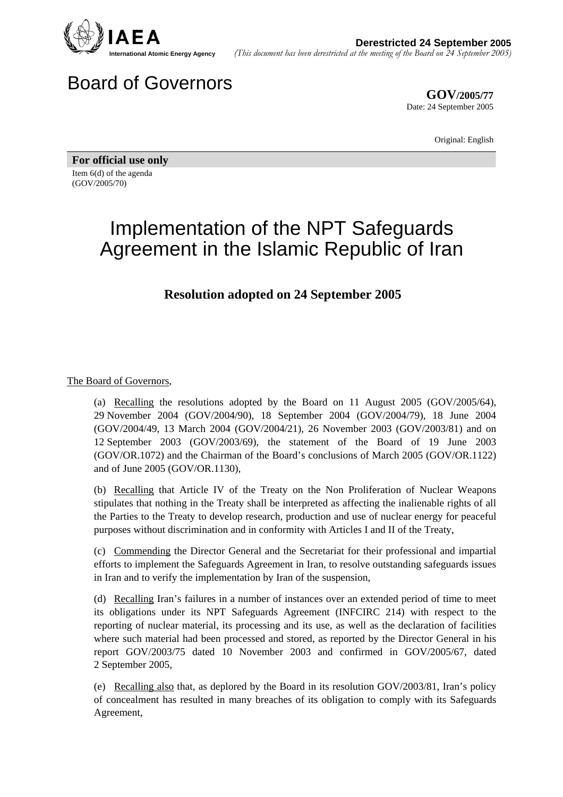

## Board of Governors

**GOV/2005/77** Date: 24 September 2005

Original: English

**For official use only**  Item 6(d) of the agenda (GOV/2005/70)

## Implementation of the NPT Safeguards Agreement in the Islamic Republic of Iran

## **Resolution adopted on 24 September 2005**

The Board of Governors,

(a) Recalling the resolutions adopted by the Board on 11 August 2005 (GOV/2005/64), 29 November 2004 (GOV/2004/90), 18 September 2004 (GOV/2004/79), 18 June 2004 (GOV/2004/49, 13 March 2004 (GOV/2004/21), 26 November 2003 (GOV/2003/81) and on 12 September 2003 (GOV/2003/69), the statement of the Board of 19 June 2003 (GOV/OR.1072) and the Chairman of the Board's conclusions of March 2005 (GOV/OR.1122) and of June 2005 (GOV/OR.1130),

(b) Recalling that Article IV of the Treaty on the Non Proliferation of Nuclear Weapons stipulates that nothing in the Treaty shall be interpreted as affecting the inalienable rights of all the Parties to the Treaty to develop research, production and use of nuclear energy for peaceful purposes without discrimination and in conformity with Articles I and II of the Treaty,

(c) Commending the Director General and the Secretariat for their professional and impartial efforts to implement the Safeguards Agreement in Iran, to resolve outstanding safeguards issues in Iran and to verify the implementation by Iran of the suspension,

(d) Recalling Iran's failures in a number of instances over an extended period of time to meet its obligations under its NPT Safeguards Agreement (INFCIRC 214) with respect to the reporting of nuclear material, its processing and its use, as well as the declaration of facilities where such material had been processed and stored, as reported by the Director General in his report GOV/2003/75 dated 10 November 2003 and confirmed in GOV/2005/67, dated 2 September 2005,

(e) Recalling also that, as deplored by the Board in its resolution GOV/2003/81, Iran's policy of concealment has resulted in many breaches of its obligation to comply with its Safeguards Agreement,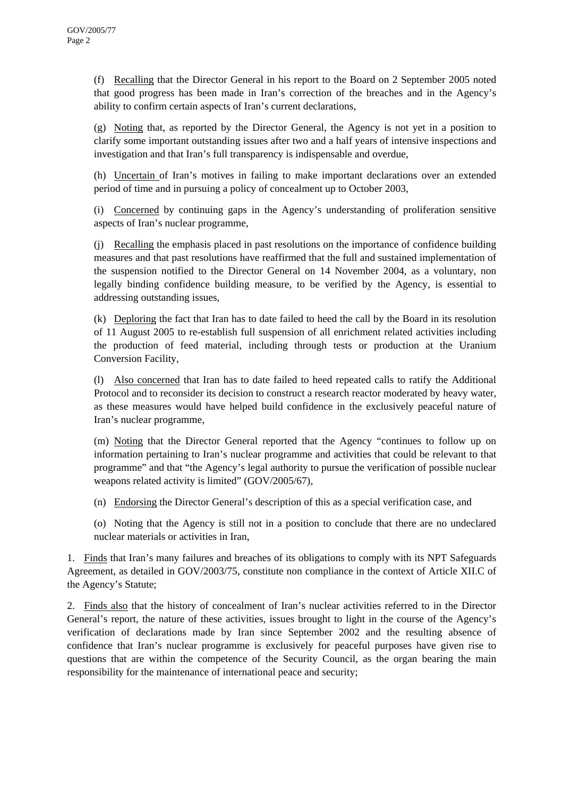(f) Recalling that the Director General in his report to the Board on 2 September 2005 noted that good progress has been made in Iran's correction of the breaches and in the Agency's ability to confirm certain aspects of Iran's current declarations,

(g) Noting that, as reported by the Director General, the Agency is not yet in a position to clarify some important outstanding issues after two and a half years of intensive inspections and investigation and that Iran's full transparency is indispensable and overdue,

(h) Uncertain of Iran's motives in failing to make important declarations over an extended period of time and in pursuing a policy of concealment up to October 2003,

(i) Concerned by continuing gaps in the Agency's understanding of proliferation sensitive aspects of Iran's nuclear programme,

(j) Recalling the emphasis placed in past resolutions on the importance of confidence building measures and that past resolutions have reaffirmed that the full and sustained implementation of the suspension notified to the Director General on 14 November 2004, as a voluntary, non legally binding confidence building measure, to be verified by the Agency, is essential to addressing outstanding issues,

(k) Deploring the fact that Iran has to date failed to heed the call by the Board in its resolution of 11 August 2005 to re-establish full suspension of all enrichment related activities including the production of feed material, including through tests or production at the Uranium Conversion Facility,

(l) Also concerned that Iran has to date failed to heed repeated calls to ratify the Additional Protocol and to reconsider its decision to construct a research reactor moderated by heavy water, as these measures would have helped build confidence in the exclusively peaceful nature of Iran's nuclear programme,

(m) Noting that the Director General reported that the Agency "continues to follow up on information pertaining to Iran's nuclear programme and activities that could be relevant to that programme" and that "the Agency's legal authority to pursue the verification of possible nuclear weapons related activity is limited" (GOV/2005/67),

(n) Endorsing the Director General's description of this as a special verification case, and

(o) Noting that the Agency is still not in a position to conclude that there are no undeclared nuclear materials or activities in Iran,

1. Finds that Iran's many failures and breaches of its obligations to comply with its NPT Safeguards Agreement, as detailed in GOV/2003/75, constitute non compliance in the context of Article XII.C of the Agency's Statute;

2. Finds also that the history of concealment of Iran's nuclear activities referred to in the Director General's report, the nature of these activities, issues brought to light in the course of the Agency's verification of declarations made by Iran since September 2002 and the resulting absence of confidence that Iran's nuclear programme is exclusively for peaceful purposes have given rise to questions that are within the competence of the Security Council, as the organ bearing the main responsibility for the maintenance of international peace and security;